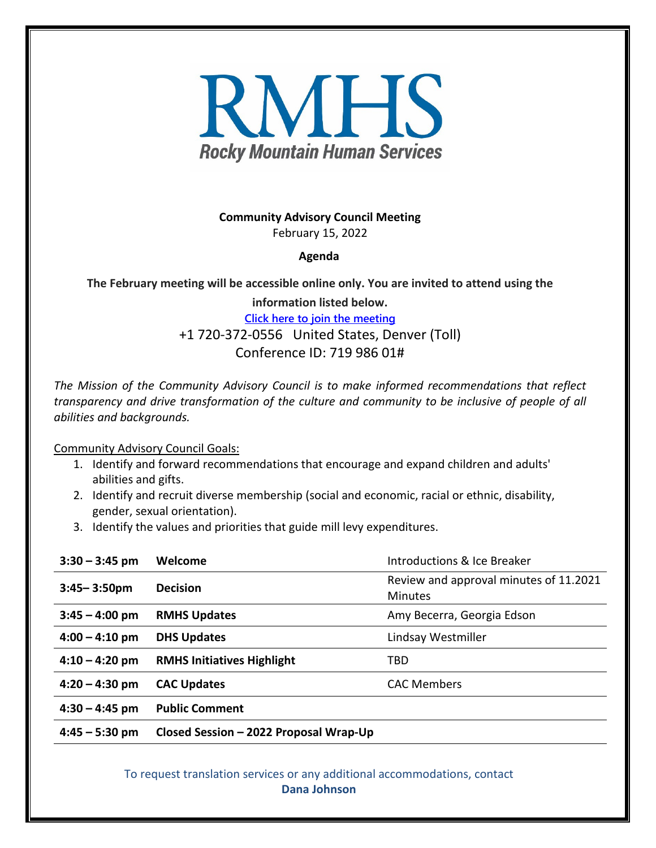

**Community Advisory Council Meeting** February 15, 2022

## **Agenda**

**The February meeting will be accessible online only. You are invited to attend using the**

**information listed below. [Click here to join the meeting](https://teams.microsoft.com/l/meetup-join/19%3ameeting_ZmE4MDk5ZDItNWNiMy00ODZiLTg3ZWEtMTE4NjFhNGI1NmY3%40thread.v2/0?context=%7b%22Tid%22%3a%22bb5181cd-7dab-4ca3-952f-de9a5fa06e09%22%2c%22Oid%22%3a%22822d1ee9-4b7f-4ef0-a216-1cd3e560b4c3%22%7d)** +1 720-372-0556 United States, Denver (Toll) Conference ID: 719 986 01#

*The Mission of the Community Advisory Council is to make informed recommendations that reflect transparency and drive transformation of the culture and community to be inclusive of people of all abilities and backgrounds.*

Community Advisory Council Goals:

- 1. Identify and forward recommendations that encourage and expand children and adults' abilities and gifts.
- 2. Identify and recruit diverse membership (social and economic, racial or ethnic, disability, gender, sexual orientation).
- 3. Identify the values and priorities that guide mill levy expenditures.

| $3:30 - 3:45$ pm | Welcome                                | Introductions & Ice Breaker                              |
|------------------|----------------------------------------|----------------------------------------------------------|
| $3:45 - 3:50$ pm | <b>Decision</b>                        | Review and approval minutes of 11.2021<br><b>Minutes</b> |
| $3:45 - 4:00$ pm | <b>RMHS Updates</b>                    | Amy Becerra, Georgia Edson                               |
| $4:00 - 4:10$ pm | <b>DHS Updates</b>                     | Lindsay Westmiller                                       |
| $4:10 - 4:20$ pm | <b>RMHS Initiatives Highlight</b>      | TBD                                                      |
| $4:20 - 4:30$ pm | <b>CAC Updates</b>                     | <b>CAC Members</b>                                       |
| $4:30 - 4:45$ pm | <b>Public Comment</b>                  |                                                          |
| $4:45 - 5:30$ pm | Closed Session - 2022 Proposal Wrap-Up |                                                          |

To request translation services or any additional accommodations, contact **Dana Johnson**